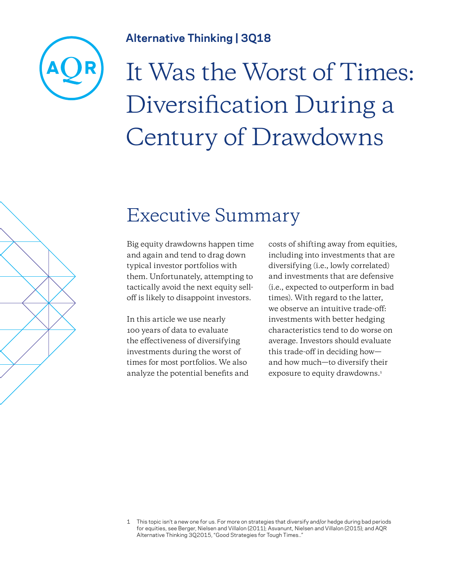

### **Alternative Thinking | 3Q18**

# It Was the Worst of Times: Diversification During a Century of Drawdowns

### Executive Summary

Big equity drawdowns happen time and again and tend to drag down typical investor portfolios with them. Unfortunately, attempting to tactically avoid the next equity selloff is likely to disappoint investors.

In this article we use nearly 100 years of data to evaluate the effectiveness of diversifying investments during the worst of times for most portfolios. We also analyze the potential benefits and costs of shifting away from equities, including into investments that are diversifying (i.e., lowly correlated) and investments that are defensive (i.e., expected to outperform in bad times). With regard to the latter, we observe an intuitive trade-off: investments with better hedging characteristics tend to do worse on average. Investors should evaluate this trade-off in deciding how and how much—to diversify their exposure to equity drawdowns.<sup>1</sup>

<sup>1</sup> This topic isn't a new one for us. For more on strategies that diversify and/or hedge during bad periods for equities, see Berger, Nielsen and Villalon (2011); Asvanunt, Nielsen and Villalon (2015); and AQR Alternative Thinking 3Q2015, "Good Strategies for Tough Times.."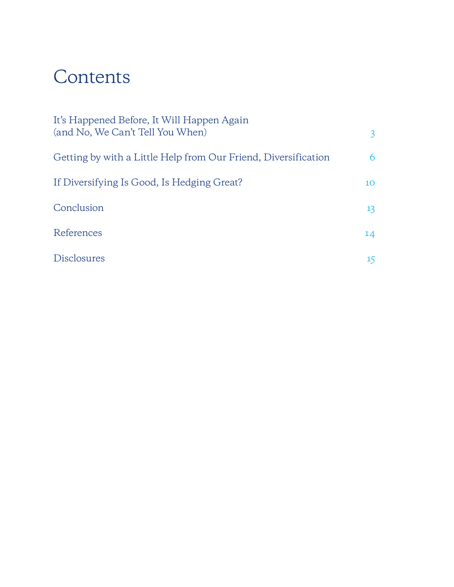### Contents

| It's Happened Before, It Will Happen Again<br>(and No, We Can't Tell You When) | 3               |
|--------------------------------------------------------------------------------|-----------------|
| Getting by with a Little Help from Our Friend, Diversification                 | 6               |
| If Diversifying Is Good, Is Hedging Great?                                     | 10              |
| Conclusion                                                                     | 13 <sup>2</sup> |
| References                                                                     | 14              |
| <b>Disclosures</b>                                                             | 15              |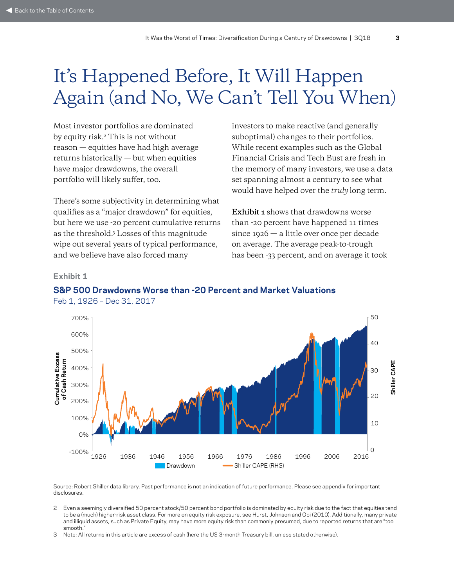### <span id="page-2-0"></span>It's Happened Before, It Will Happen Again (and No, We Can't Tell You When)

Most investor portfolios are dominated by equity risk.2 This is not without reason — equities have had high average returns historically — but when equities have major drawdowns, the overall portfolio will likely suffer, too.

There's some subjectivity in determining what qualifies as a "major drawdown" for equities, but here we use -20 percent cumulative returns as the threshold.<sup>3</sup> Losses of this magnitude wipe out several years of typical performance, and we believe have also forced many

investors to make reactive (and generally suboptimal) changes to their portfolios. While recent examples such as the Global Financial Crisis and Tech Bust are fresh in the memory of many investors, we use a data set spanning almost a century to see what would have helped over the *truly* long term.

**Exhibit 1** shows that drawdowns worse than -20 percent have happened 11 times since  $1926 - a$  little over once per decade on average. The average peak-to-trough has been -33 percent, and on average it took

#### **Exhibit 1**



**S&P 500 Drawdowns Worse than -20 Percent and Market Valuations** 

Feb 1, 1926 – Dec 31, 2017

Source: Robert Shiller data library. Past performance is not an indication of future performance. Please see appendix for important disclosures.

2 Even a seemingly diversified 50 percent stock/50 percent bond portfolio is dominated by equity risk due to the fact that equities tend to be a (much) higher-risk asset class. For more on equity risk exposure, see Hurst, Johnson and Ooi (2010). Additionally, many private and illiquid assets, such as Private Equity, may have more equity risk than commonly presumed, due to reported returns that are "too smooth."

3 Note: All returns in this article are excess of cash (here the US 3-month Treasury bill, unless stated otherwise).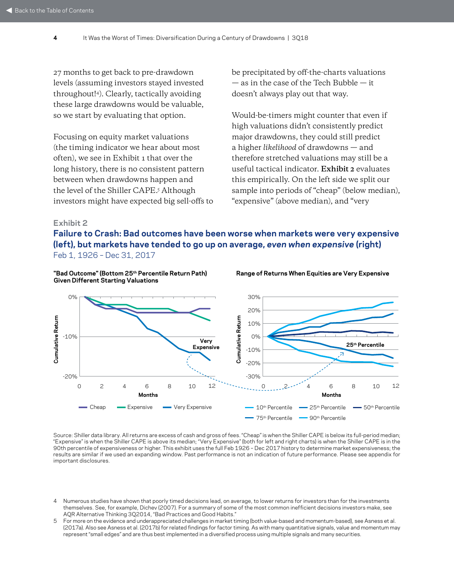27 months to get back to pre-drawdown levels (assuming investors stayed invested throughout!<sup>4</sup>). Clearly, tactically avoiding these large drawdowns would be valuable, so we start by evaluating that option.

Focusing on equity market valuations (the timing indicator we hear about most often), we see in Exhibit 1 that over the long history, there is no consistent pattern between when drawdowns happen and the level of the Shiller CAPE.<sup>5</sup> Although investors might have expected big sell-offs to be precipitated by off-the-charts valuations  $-$  as in the case of the Tech Bubble  $-$  it doesn't always play out that way.

Would-be-timers might counter that even if high valuations didn't consistently predict major drawdowns, they could still predict a higher *likelihood* of drawdowns — and therefore stretched valuations may still be a useful tactical indicator. **Exhibit 2** evaluates this empirically. On the left side we split our sample into periods of "cheap" (below median), "expensive" (above median), and "very

#### **Exhibit 2**

### **Failure to Crash: Bad outcomes have been worse when markets were very expensive (left), but markets have tended to go up on average,** *even when expensive* **(right)**  Feb 1, 1926 – Dec 31, 2017



**"Bad Outcome" (Bottom 25th Percentile Return Path)** 

**Range of Returns When Equities are Very Expensive**

75<sup>th</sup> Percentile **- 90<sup>th</sup> Percentile** 

Source: Shiller data library. All returns are excess of cash and gross of fees. "Cheap" is when the Shiller CAPE is below its full-period median; "Expensive" is when the Shiller CAPE is above its median; "Very Expensive" (both for left and right charts) is when the Shiller CAPE is in the 90th percentile of expensiveness or higher. This exhibit uses the full Feb 1926 – Dec 2017 history to determine market expensiveness; the results are similar if we used an expanding window. Past performance is not an indication of future performance. Please see appendix for important disclosures.

- 4 Numerous studies have shown that poorly timed decisions lead, on average, to lower returns for investors than for the investments themselves. See, for example, Dichev (2007). For a summary of some of the most common inefficient decisions investors make, see AQR Alternative Thinking 3Q2014, "Bad Practices and Good Habits."
- 5 For more on the evidence and underappreciated challenges in market timing (both value-based and momentum-based), see Asness et al. (2017a). Also see Asness et al. (2017b) for related findings for factor timing. As with many quantitative signals, value and momentum may represent "small edges" and are thus best implemented in a diversified process using multiple signals and many securities.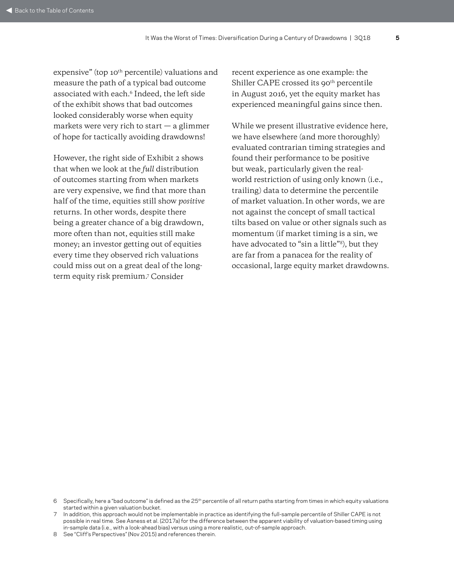expensive" (top 10<sup>th</sup> percentile) valuations and measure the path of a typical bad outcome associated with each.<sup>6</sup> Indeed, the left side of the exhibit shows that bad outcomes looked considerably worse when equity markets were very rich to start  $-$  a glimmer of hope for tactically avoiding drawdowns!

However, the right side of Exhibit 2 shows that when we look at the *full* distribution of outcomes starting from when markets are very expensive, we find that more than half of the time, equities still show *positive* returns. In other words, despite there being a greater chance of a big drawdown, more often than not, equities still make money; an investor getting out of equities every time they observed rich valuations could miss out on a great deal of the longterm equity risk premium.7 Consider

recent experience as one example: the Shiller CAPE crossed its 90<sup>th</sup> percentile in August 2016, yet the equity market has experienced meaningful gains since then.

While we present illustrative evidence here, we have elsewhere (and more thoroughly) evaluated contrarian timing strategies and found their performance to be positive but weak, particularly given the realworld restriction of using only known (i.e., trailing) data to determine the percentile of market valuation. In other words, we are not against the concept of small tactical tilts based on value or other signals such as momentum (if market timing is a sin, we have advocated to "sin a little"<sup>8</sup> ), but they are far from a panacea for the reality of occasional, large equity market drawdowns.

<sup>6</sup> Specifically, here a "bad outcome" is defined as the 25<sup>th</sup> percentile of all return paths starting from times in which equity valuations started within a given valuation bucket.

<sup>7</sup> In addition, this approach would not be implementable in practice as identifying the full-sample percentile of Shiller CAPE is not possible in real time. See Asness et al. (2017a) for the difference between the apparent viability of valuation-based timing using in-sample data (i.e., with a look-ahead bias) versus using a more realistic, out-of-sample approach.

<sup>8</sup> See "Cliff's Perspectives" (Nov 2015) and references therein.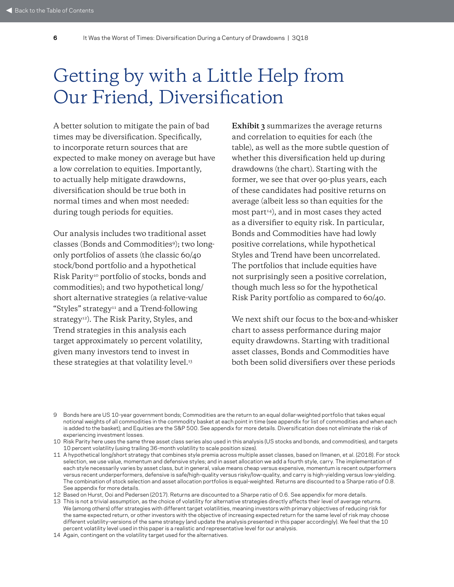<span id="page-5-0"></span>

### Getting by with a Little Help from Our Friend, Diversification

A better solution to mitigate the pain of bad times may be diversification. Specifically, to incorporate return sources that are expected to make money on average but have a low correlation to equities. Importantly, to actually help mitigate drawdowns, diversification should be true both in normal times and when most needed: during tough periods for equities.

Our analysis includes two traditional asset classes (Bonds and Commodities<sup>9</sup>); two longonly portfolios of assets (the classic 60/40 stock/bond portfolio and a hypothetical Risk Parity<sup>10</sup> portfolio of stocks, bonds and commodities); and two hypothetical long/ short alternative strategies (a relative-value "Styles" strategy<sup>11</sup> and a Trend-following strategy<sup>12</sup>). The Risk Parity, Styles, and Trend strategies in this analysis each target approximately 10 percent volatility, given many investors tend to invest in these strategies at that volatility level.<sup>13</sup>

**Exhibit 3** summarizes the average returns and correlation to equities for each (the table), as well as the more subtle question of whether this diversification held up during drawdowns (the chart). Starting with the former, we see that over 90-plus years, each of these candidates had positive returns on average (albeit less so than equities for the most part<sup>14</sup>), and in most cases they acted as a diversifier to equity risk. In particular, Bonds and Commodities have had lowly positive correlations, while hypothetical Styles and Trend have been uncorrelated. The portfolios that include equities have not surprisingly seen a positive correlation, though much less so for the hypothetical Risk Parity portfolio as compared to 60/40.

We next shift our focus to the box-and-whisker chart to assess performance during major equity drawdowns. Starting with traditional asset classes, Bonds and Commodities have both been solid diversifiers over these periods

<sup>9</sup> Bonds here are US 10-year government bonds; Commodities are the return to an equal dollar-weighted portfolio that takes equal notional weights of all commodities in the commodity basket at each point in time (see appendix for list of commodities and when each is added to the basket); and Equities are the S&P 500. See appendix for more details. Diversification does not eliminate the risk of experiencing investment losses.

<sup>10</sup> Risk Parity here uses the same three asset class series also used in this analysis (US stocks and bonds, and commodities), and targets 10 percent volatility (using trailing 36-month volatility to scale position sizes).

<sup>11</sup> A hypothetical long/short strategy that combines style premia across multiple asset classes, based on Ilmanen, et al. (2018). For stock selection, we use value, momentum and defensive styles; and in asset allocation we add a fourth style, carry. The implementation of each style necessarily varies by asset class, but in general, value means cheap versus expensive, momentum is recent outperformers versus recent underperformers, defensive is safe/high-quality versus risky/low-quality, and carry is high-yielding versus low-yielding. The combination of stock selection and asset allocation portfolios is equal-weighted. Returns are discounted to a Sharpe ratio of 0.8. See appendix for more details.

<sup>12</sup> Based on Hurst, Ooi and Pedersen (2017). Returns are discounted to a Sharpe ratio of 0.6. See appendix for more details.

<sup>13</sup> This is not a trivial assumption, as the choice of volatility for alternative strategies directly affects their level of average returns. We (among others) offer strategies with different target volatilities, meaning investors with primary objectives of reducing risk for the same expected return, or other investors with the objective of increasing expected return for the same level of risk may choose different volatility-versions of the same strategy (and update the analysis presented in this paper accordingly). We feel that the 10 percent volatility level used in this paper is a realistic and representative level for our analysis.

<sup>14</sup> Again, contingent on the volatility target used for the alternatives.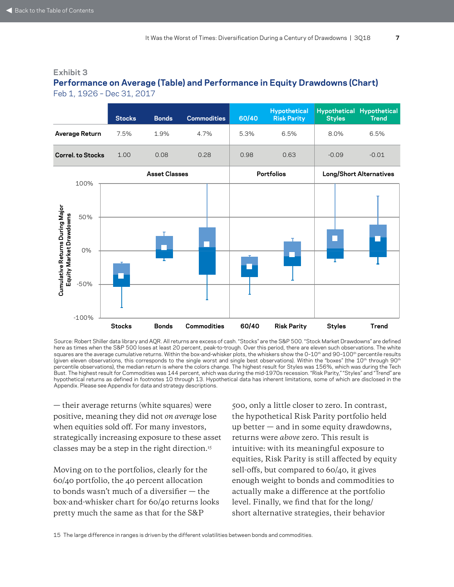#### **Exhibit 3**

### **Performance on Average (Table) and Performance in Equity Drawdowns (Chart)** Feb 1, 1926 – Dec 31, 2017



Source: Robert Shiller data library and AQR. All returns are excess of cash. "Stocks" are the S&P 500. "Stock Market Drawdowns" are defined here as times when the S&P 500 loses at least 20 percent, peak-to-trough. Over this period, there are eleven such observations. The white squares are the average cumulative returns. Within the box-and-whisker plots, the whiskers show the 0-10<sup>th</sup> and 90-100<sup>th</sup> percentile results (given eleven observations, this corresponds to the single worst and single best observations). Within the "boxes" (the  $10$ th through  $90^{\rm th}$ percentile observations), the median return is where the colors change. The highest result for Styles was 156%, which was during the Tech Bust. The highest result for Commodities was 144 percent, which was during the mid-1970s recession. "Risk Parity," "Styles" and "Trend" are hypothetical returns as defined in footnotes 10 through 13. Hypothetical data has inherent limitations, some of which are disclosed in the Appendix. Please see Appendix for data and strategy descriptions.

— their average returns (white squares) were positive, meaning they did not *on average* lose when equities sold off. For many investors, strategically increasing exposure to these asset classes may be a step in the right direction.<sup>15</sup>

Moving on to the portfolios, clearly for the 60/40 portfolio, the 40 percent allocation to bonds wasn't much of a diversifier — the box-and-whisker chart for 60/40 returns looks pretty much the same as that for the S&P

500, only a little closer to zero. In contrast, the hypothetical Risk Parity portfolio held up better  $-$  and in some equity drawdowns, returns were *above* zero. This result is intuitive: with its meaningful exposure to equities, Risk Parity is still affected by equity sell-offs, but compared to 60/40, it gives enough weight to bonds and commodities to actually make a difference at the portfolio level. Finally, we find that for the long/ short alternative strategies, their behavior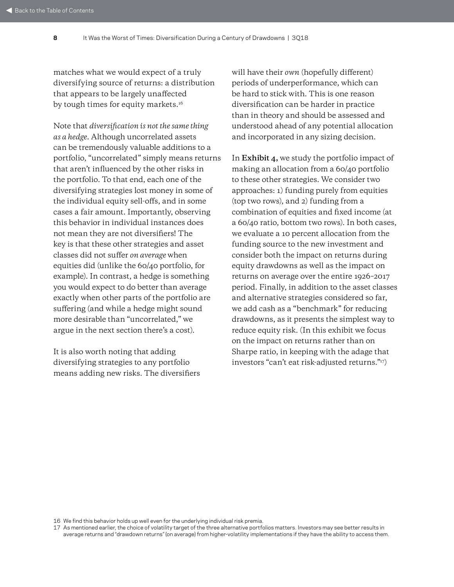matches what we would expect of a truly diversifying source of returns: a distribution that appears to be largely unaffected by tough times for equity markets.<sup>16</sup>

Note that *diversification is not the same thing as a hedge*. Although uncorrelated assets can be tremendously valuable additions to a portfolio, "uncorrelated" simply means returns that aren't influenced by the other risks in the portfolio. To that end, each one of the diversifying strategies lost money in some of the individual equity sell-offs, and in some cases a fair amount. Importantly, observing this behavior in individual instances does not mean they are not diversifiers! The key is that these other strategies and asset classes did not suffer *on average* when equities did (unlike the 60/40 portfolio, for example). In contrast, a hedge is something you would expect to do better than average exactly when other parts of the portfolio are suffering (and while a hedge might sound more desirable than "uncorrelated," we argue in the next section there's a cost).

It is also worth noting that adding diversifying strategies to any portfolio means adding new risks. The diversifiers will have their *own* (hopefully different) periods of underperformance, which can be hard to stick with. This is one reason diversification can be harder in practice than in theory and should be assessed and understood ahead of any potential allocation and incorporated in any sizing decision.

In **Exhibit 4,** we study the portfolio impact of making an allocation from a 60/40 portfolio to these other strategies. We consider two approaches: 1) funding purely from equities (top two rows), and 2) funding from a combination of equities and fixed income (at a 60/40 ratio, bottom two rows). In both cases, we evaluate a 10 percent allocation from the funding source to the new investment and consider both the impact on returns during equity drawdowns as well as the impact on returns on average over the entire 1926–2017 period. Finally, in addition to the asset classes and alternative strategies considered so far, we add cash as a "benchmark" for reducing drawdowns, as it presents the simplest way to reduce equity risk. (In this exhibit we focus on the impact on returns rather than on Sharpe ratio, in keeping with the adage that investors "can't eat risk-adjusted returns."17)

16 We find this behavior holds up well even for the underlying individual risk premia.

17 As mentioned earlier, the choice of volatility target of the three alternative portfolios matters. Investors may see better results in average returns and "drawdown returns" (on average) from higher-volatility implementations if they have the ability to access them.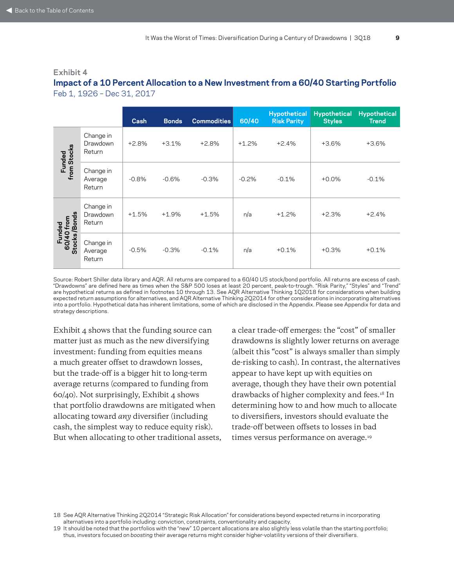#### **Exhibit 4 Impact of a 10 Percent Allocation to a New Investment from a 60/40 Starting Portfolio** Feb 1, 1926 – Dec 31, 2017

|                                       |                                        | Cash    | <b>Bonds</b> | <b>Commodities</b> | 60/40   | <b>Hypothetical</b><br><b>Risk Parity</b> | <b>Hypothetical</b><br><b>Styles</b> | <b>Hypothetical</b><br><b>Trend</b> |
|---------------------------------------|----------------------------------------|---------|--------------|--------------------|---------|-------------------------------------------|--------------------------------------|-------------------------------------|
| from Stocks<br>Funded                 | Change in<br>Drawdown<br>Return        | $+2.8%$ | $+3.1%$      | $+2.8%$            | $+1.2%$ | $+2.4%$                                   | $+3.6%$                              | $+3.6%$                             |
|                                       | Change in<br>Average<br>Return         | $-0.8%$ | $-0.6%$      | $-0.3%$            | $-0.2%$ | $-0.1%$                                   | $+0.0%$                              | $-0.1%$                             |
| Funded<br>60/40 from<br>Stocks /Bonds | Change in<br><b>Drawdown</b><br>Return | $+1.5%$ | $+1.9%$      | $+1.5%$            | n/a     | $+1.2%$                                   | $+2.3%$                              | $+2.4%$                             |
|                                       | Change in<br>Average<br>Return         | $-0.5%$ | $-0.3%$      | $-0.1%$            | n/a     | $+0.1%$                                   | $+0.3%$                              | $+0.1%$                             |

Source: Robert Shiller data library and AQR. All returns are compared to a 60/40 US stock/bond portfolio. All returns are excess of cash. "Drawdowns" are defined here as times when the S&P 500 loses at least 20 percent, peak-to-trough. "Risk Parity," "Styles" and "Trend" are hypothetical returns as defined in footnotes 10 through 13. See AQR Alternative Thinking 1Q2018 for considerations when building expected return assumptions for alternatives, and AQR Alternative Thinking 2Q2014 for other considerations in incorporating alternatives into a portfolio. Hypothetical data has inherent limitations, some of which are disclosed in the Appendix. Please see Appendix for data and strategy descriptions.

Exhibit 4 shows that the funding source can matter just as much as the new diversifying investment: funding from equities means a much greater offset to drawdown losses, but the trade-off is a bigger hit to long-term average returns (compared to funding from 60/40). Not surprisingly, Exhibit 4 shows that portfolio drawdowns are mitigated when allocating toward *any* diversifier (including cash, the simplest way to reduce equity risk). But when allocating to other traditional assets, a clear trade-off emerges: the "cost" of smaller drawdowns is slightly lower returns on average (albeit this "cost" is always smaller than simply de-risking to cash). In contrast, the alternatives appear to have kept up with equities on average, though they have their own potential drawbacks of higher complexity and fees.<sup>18</sup> In determining how to and how much to allocate to diversifiers, investors should evaluate the trade-off between offsets to losses in bad times versus performance on average.19

<sup>18</sup> See AQR Alternative Thinking 2Q2014 "Strategic Risk Allocation" for considerations beyond expected returns in incorporating alternatives into a portfolio including: conviction, constraints, conventionality and capacity.

<sup>19</sup> It should be noted that the portfolios with the "new" 10 percent allocations are also slightly less volatile than the starting portfolio; thus, investors focused on *boosting* their average returns might consider higher-volatility versions of their diversifiers.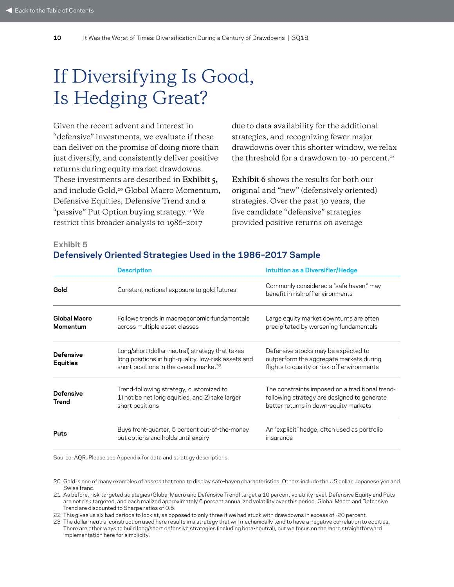### <span id="page-9-0"></span>If Diversifying Is Good, Is Hedging Great?

Given the recent advent and interest in "defensive" investments, we evaluate if these can deliver on the promise of doing more than just diversify, and consistently deliver positive returns during equity market drawdowns. These investments are described in **Exhibit 5,** and include Gold,<sup>20</sup> Global Macro Momentum, Defensive Equities, Defensive Trend and a "passive" Put Option buying strategy.21 We restrict this broader analysis to 1986–2017

due to data availability for the additional strategies, and recognizing fewer major drawdowns over this shorter window, we relax the threshold for a drawdown to -10 percent.<sup>22</sup>

**Exhibit 6** shows the results for both our original and "new" (defensively oriented) strategies. Over the past 30 years, the five candidate "defensive" strategies provided positive returns on average

### **Exhibit 5 Defensively Oriented Strategies Used in the 1986–2017 Sample**

|                              | <b>Description</b>                                                                                                                                            | Intuition as a Diversifier/Hedge                                                                                                        |
|------------------------------|---------------------------------------------------------------------------------------------------------------------------------------------------------------|-----------------------------------------------------------------------------------------------------------------------------------------|
| Gold                         | Constant notional exposure to gold futures                                                                                                                    | Commonly considered a "safe haven," may<br>benefit in risk-off environments                                                             |
| Global Macro<br>Momentum     | Follows trends in macroeconomic fundamentals<br>across multiple asset classes                                                                                 | Large equity market downturns are often<br>precipitated by worsening fundamentals                                                       |
| Defensive<br><b>Equities</b> | Long/short (dollar-neutral) strategy that takes<br>long positions in high-quality, low-risk assets and<br>short positions in the overall market <sup>23</sup> | Defensive stocks may be expected to<br>outperform the aggregate markets during<br>flights to quality or risk-off environments           |
| Defensive<br><b>Trend</b>    | Trend-following strategy, customized to<br>1) not be net long equities, and 2) take larger<br>short positions                                                 | The constraints imposed on a traditional trend-<br>following strategy are designed to generate<br>better returns in down-equity markets |
| Puts                         | Buys front-quarter, 5 percent out-of-the-money<br>put options and holds until expiry                                                                          | An "explicit" hedge, often used as portfolio<br>insurance                                                                               |

Source: AQR. Please see Appendix for data and strategy descriptions.

23 The dollar-neutral construction used here results in a strategy that will mechanically tend to have a negative correlation to equities. There are other ways to build long/short defensive strategies (including beta-neutral), but we focus on the more straightforward implementation here for simplicity.

<sup>20</sup> Gold is one of many examples of assets that tend to display safe-haven characteristics. Others include the US dollar, Japanese yen and Swiss franc.

<sup>21</sup> As before, risk-targeted strategies (Global Macro and Defensive Trend) target a 10 percent volatility level. Defensive Equity and Puts are not risk targeted, and each realized approximately 6 percent annualized volatility over this period. Global Macro and Defensive Trend are discounted to Sharpe ratios of 0.5.

<sup>22</sup> This gives us six bad periods to look at, as opposed to only three if we had stuck with drawdowns in excess of -20 percent.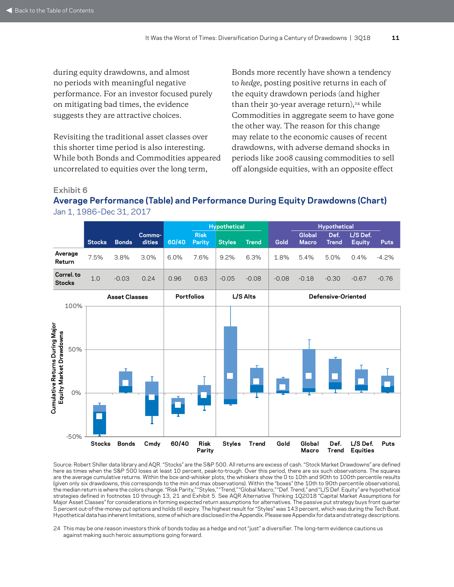during equity drawdowns, and almost no periods with meaningful negative performance. For an investor focused purely on mitigating bad times, the evidence suggests they are attractive choices.

Revisiting the traditional asset classes over this shorter time period is also interesting. While both Bonds and Commodities appeared uncorrelated to equities over the long term,

Bonds more recently have shown a tendency to *hedge*, posting positive returns in each of the equity drawdown periods (and higher than their 30-year average return), $24$  while Commodities in aggregate seem to have gone the other way. The reason for this change may relate to the economic causes of recent drawdowns, with adverse demand shocks in periods like 2008 causing commodities to sell off alongside equities, with an opposite effect

#### **Exhibit 6**

### **Average Performance (Table) and Performance During Equity Drawdowns (Chart)** Jan 1, 1986–Dec 31, 2017



Source: Robert Shiller data library and AQR. "Stocks" are the S&P 500. All returns are excess of cash. "Stock Market Drawdowns" are defined here as times when the S&P 500 loses at least 10 percent, peak-to-trough. Over this period, there are six such observations. The squares are the average cumulative returns. Within the box-and-whisker plots, the whiskers show the 0 to 10th and 90th to 100th percentile results (given only six drawdowns, this corresponds to the min and max observations). Within the "boxes" (the 10th to 90th percentile observations), the median return is where the colors change. "Risk Parity," "Styles," "Trend," "Global Macro," "Def. Trend," and "L/S Def. Equity" are hypothetical strategies defined in footnotes 10 through 13, 21 and Exhibit 5. See AQR Alternative Thinking 1Q2018 "Capital Market Assumptions for Major Asset Classes" for considerations in forming expected return assumptions for alternatives. The passive put strategy buys front quarter 5 percent out-of-the-money put options and holds till expiry. The highest result for "Styles" was 143 percent, which was during the Tech Bust. Hypothetical data has inherent limitations, some of which are disclosed in the Appendix. Please see Appendix for data and strategy descriptions.

24 This may be one reason investors think of bonds today as a hedge and not "just" a diversifier. The long-term evidence cautions us against making such heroic assumptions going forward.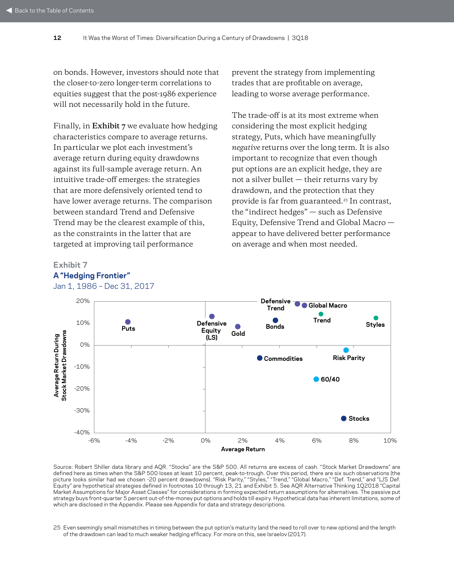on bonds. However, investors should note that the closer-to-zero longer-term correlations to equities suggest that the post-1986 experience will not necessarily hold in the future.

Finally, in **Exhibit 7** we evaluate how hedging characteristics compare to average returns. In particular we plot each investment's average return during equity drawdowns against its full-sample average return. An intuitive trade-off emerges: the strategies that are more defensively oriented tend to have lower average returns. The comparison between standard Trend and Defensive Trend may be the clearest example of this, as the constraints in the latter that are targeted at improving tail performance

prevent the strategy from implementing trades that are profitable on average, leading to worse average performance.

The trade-off is at its most extreme when considering the most explicit hedging strategy, Puts, which have meaningfully *negative* returns over the long term. It is also important to recognize that even though put options are an explicit hedge, they are not a silver bullet — their returns vary by drawdown, and the protection that they provide is far from guaranteed.25 In contrast, the "indirect hedges" — such as Defensive Equity, Defensive Trend and Global Macro appear to have delivered better performance on average and when most needed.

### **Exhibit 7 A "Hedging Frontier"**



Source: Robert Shiller data library and AQR. "Stocks" are the S&P 500. All returns are excess of cash. "Stock Market Drawdowns" are defined here as times when the S&P 500 loses at least 10 percent, peak-to-trough. Over this period, there are six such observations (the picture looks similar had we chosen -20 percent drawdowns). "Risk Parity," "Styles," "Trend," "Global Macro," "Def. Trend," and "L/S Def. Equity" are hypothetical strategies defined in footnotes 10 through 13, 21 and Exhibit 5. See AQR Alternative Thinking 1Q2018 "Capital Market Assumptions for Major Asset Classes" for considerations in forming expected return assumptions for alternatives. The passive put strategy buys front-quarter 5 percent out-of-the-money put options and holds till expiry. Hypothetical data has inherent limitations, some of which are disclosed in the Appendix. Please see Appendix for data and strategy descriptions.

25 Even seemingly small mismatches in timing between the put option's maturity (and the need to roll over to new options) and the length of the drawdown can lead to much weaker hedging efficacy. For more on this, see Israelov (2017).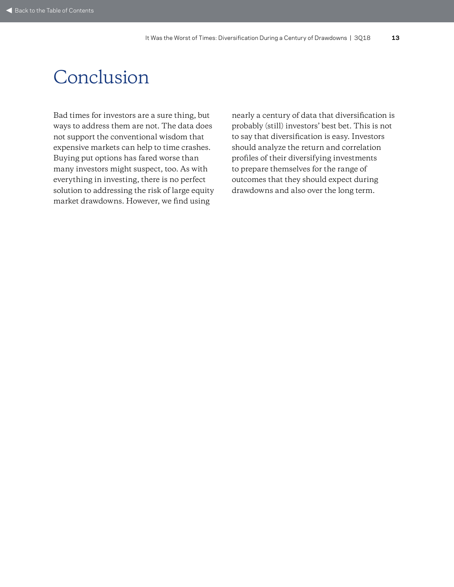### <span id="page-12-0"></span>Conclusion

Bad times for investors are a sure thing, but ways to address them are not. The data does not support the conventional wisdom that expensive markets can help to time crashes. Buying put options has fared worse than many investors might suspect, too. As with everything in investing, there is no perfect solution to addressing the risk of large equity market drawdowns. However, we find using

nearly a century of data that diversification is probably (still) investors' best bet. This is not to say that diversification is easy. Investors should analyze the return and correlation profiles of their diversifying investments to prepare themselves for the range of outcomes that they should expect during drawdowns and also over the long term.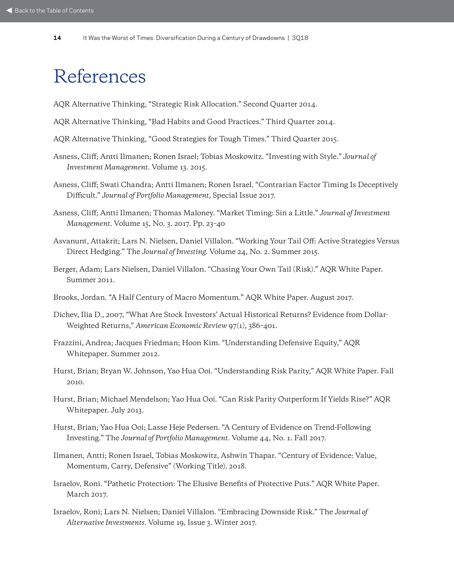<span id="page-13-0"></span>**14** It Was the Worst of Times: Diversification During a Century of Drawdowns | 3Q18

## References

- AQR Alternative Thinking, "Strategic Risk Allocation." Second Quarter 2014.
- AQR Alternative Thinking, "Bad Habits and Good Practices." Third Quarter 2014.
- AQR Alternative Thinking, "Good Strategies for Tough Times." Third Quarter 2015.
- Asness, Cliff; Antti Ilmanen; Ronen Israel; Tobias Moskowitz. "Investing with Style." *Journal of Investment Management*. Volume 13. 2015.
- Asness, Cliff; Swati Chandra; Antti Ilmanen; Ronen Israel. "Contrarian Factor Timing Is Deceptively Difficult." *Journal of Portfolio Management*, Special Issue 2017.
- Asness, Cliff; Antti Ilmanen; Thomas Maloney. "Market Timing: Sin a Little." *Journal of Investment Management*. Volume 15, No. 3. 2017. Pp. 23–40
- Asvanunt, Attakrit; Lars N. Nielsen, Daniel Villalon. "Working Your Tail Off: Active Strategies Versus Direct Hedging." The *Journal of Investing*. Volume 24, No. 2. Summer 2015.
- Berger, Adam; Lars Nielsen, Daniel Villalon. "Chasing Your Own Tail (Risk)." AQR White Paper. Summer 2011.
- Brooks, Jordan. "A Half Century of Macro Momentum." AQR White Paper. August 2017.
- Dichev, Ilia D., 2007, "What Are Stock Investors' Actual Historical Returns? Evidence from Dollar-Weighted Returns," *American Economic Review* 97(1), 386–401.
- Frazzini, Andrea; Jacques Friedman; Hoon Kim. "Understanding Defensive Equity," AQR Whitepaper. Summer 2012.
- Hurst, Brian; Bryan W. Johnson, Yao Hua Ooi. "Understanding Risk Parity," AQR White Paper. Fall 2010.
- Hurst, Brian; Michael Mendelson; Yao Hua Ooi. "Can Risk Parity Outperform If Yields Rise?" AQR Whitepaper. July 2013.
- Hurst, Brian; Yao Hua Ooi; Lasse Heje Pedersen. "A Century of Evidence on Trend-Following Investing." The *Journal of Portfolio Management*. Volume 44, No. 1. Fall 2017.
- Ilmanen, Antti; Ronen Israel, Tobias Moskowitz, Ashwin Thapar. "Century of Evidence: Value, Momentum, Carry, Defensive" (Working Title). 2018.
- Israelov, Roni. "Pathetic Protection: The Elusive Benefits of Protective Puts." AQR White Paper. March 2017.
- Israelov, Roni; Lars N. Nielsen; Daniel Villalon. "Embracing Downside Risk." The *Journal of Alternative Investments*. Volume 19, Issue 3. Winter 2017.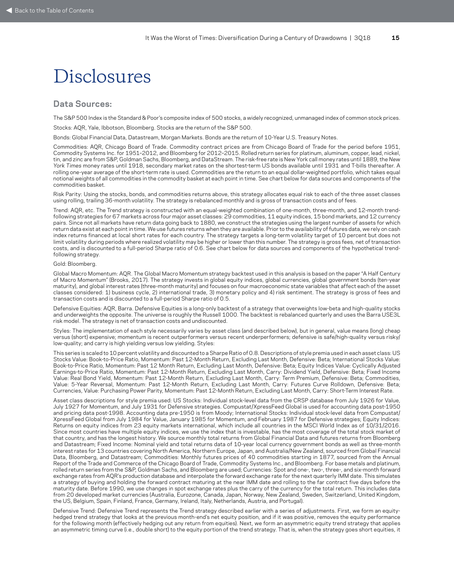### <span id="page-14-0"></span>Disclosures

#### **Data Sources:**

The S&P 500 Index is the Standard & Poor's composite index of 500 stocks, a widely recognized, unmanaged index of common stock prices.

Stocks: AQR, Yale, Ibbotson, Bloomberg. Stocks are the return of the S&P 500.

Bonds: Global Financial Data, Datastream, Morgan Markets. Bonds are the return of 10-Year U.S. Treasury Notes.

Commodities: AQR, Chicago Board of Trade. Commodity contract prices are from Chicago Board of Trade for the period before 1951, Commodity Systems Inc. for 1951–2012, and Bloomberg for 2012–2015. Rolled return series for platinum, aluminum, copper, lead, nickel, tin, and zinc are from S&P, Goldman Sachs, Bloomberg, and DataStream. The risk-free rate is New York call money rates until 1889, the *New York Times* money rates until 1918, secondary market rates on the shortest-term US bonds available until 1931 and T-bills thereafter. A rolling one-year average of the short-term rate is used. Commodities are the return to an equal dollar-weighted portfolio, which takes equal notional weights of all commodities in the commodity basket at each point in time. See chart below for data sources and components of the commodities basket.

Risk Parity: Using the stocks, bonds, and commodities returns above, this strategy allocates equal risk to each of the three asset classes using rolling, trailing 36-month volatility. The strategy is rebalanced monthly and is gross of transaction costs and of fees.

Trend: AQR, etc. The Trend strategy is constructed with an equal-weighted combination of one-month, three-month, and 12-month trendfollowing strategies for 67 markets across four major asset classes: 29 commodities, 11 equity indices, 15 bond markets, and 12 currency pairs. Since not all markets have return data going back to 1880, we construct the strategies using the largest number of assets for which return data exist at each point in time. We use futures returns when they are available. Prior to the availability of futures data, we rely on cash index returns financed at local short rates for each country. The strategy targets a long-term volatility target of 10 percent but does not limit volatility during periods where realized volatility may be higher or lower than this number. The strategy is gross fees, net of transaction costs, and is discounted to a full-period Sharpe ratio of 0.6. See chart below for data sources and components of the hypothetical trendfollowing strategy.

#### Gold: Bloomberg.

Global Macro Momentum: AQR. The Global Macro Momentum strategy backtest used in this analysis is based on the paper "A Half Century of Macro Momentum" (Brooks, 2017). The strategy invests in global equity indices, global currencies, global government bonds (ten-year maturity), and global interest rates (three-month maturity) and focuses on four macroeconomic state variables that affect each of the asset classes considered: 1) business cycle, 2) international trade, 3) monetary policy and 4) risk sentiment. The strategy is gross of fees and transaction costs and is discounted to a full-period Sharpe ratio of 0.5.

Defensive Equities: AQR, Barra. Defensive Equities is a long-only backtest of a strategy that overweights low-beta and high-quality stocks and underweights the opposite. The universe is roughly the Russell 1000. The backtest is rebalanced quarterly and uses the Barra USE3L risk model. The strategy is net of transaction costs and undiscounted.

Styles: The implementation of each style necessarily varies by asset class (and described below), but in general, value means (long) cheap versus (short) expensive; momentum is recent outperformers versus recent underperformers; defensive is safe/high-quality versus risky/ low-quality; and carry is high yielding versus low yielding. Styles:

This series is scaled to 10 percent volatility and discounted to a Sharpe Ratio of 0.8. Descriptions of style premia used in each asset class: US Stocks Value: Book-to-Price Ratio, Momentum: Past 12-Month Return, Excluding Last Month, Defensive: Beta; International Stocks Value: Book-to-Price Ratio, Momentum: Past 12 Month Return, Excluding Last Month, Defensive: Beta; Equity Indices Value: Cyclically Adjusted Earnings-to-Price Ratio, Momentum: Past 12-Month Return, Excluding Last Month, Carry: Dividend Yield, Defensive: Beta; Fixed Income Value: Real Bond Yield, Momentum: Past 12-Month Return, Excluding Last Month, Carry: Term Premium, Defensive: Beta; Commodities, Value: 5-Year Reversal, Momentum: Past 12-Month Return, Excluding Last Month, Carry: Futures Curve Rolldown, Defensive: Beta; Currencies, Value: Purchasing Power Parity, Momentum: Past 12-Month Return, Excluding Last Month, Carry: Short-Term Interest Rate.

Asset class descriptions for style premia used: US Stocks: Individual stock-level data from the CRSP database from July 1926 for Value, July 1927 for Momentum, and July 1931 for Defensive strategies. Compustat/XpressFeed Global is used for accounting data post-1950 and pricing data post-1998. Accounting data pre-1950 is from Moody; International Stocks: Individual stock-level data from Compustat/ XpressFeed Global from July 1984 for Value, January 1985 for Momentum, and February 1987 for Defensive strategies; Equity Indices: Returns on equity indices from 23 equity markets international, which include all countries in the MSCI World Index as of 10/31/2016. Since most countries have multiple equity indices, we use the index that is investable, has the most coverage of the total stock market of that country, and has the longest history. We source monthly total returns from Global Financial Data and futures returns from Bloomberg and Datastream; Fixed Income: Nominal yield and total returns data of 10-year local currency government bonds as well as three-month interest rates for 13 countries covering North America, Northern Europe, Japan, and Australia/New Zealand, sourced from Global Financial Data, Bloomberg, and Datastream; Commodities: Monthly futures prices of 40 commodities starting in 1877, sourced from the Annual Report of the Trade and Commerce of the Chicago Board of Trade, Commodity Systems Inc., and Bloomberg. For base metals and platinum, rolled return series from the S&P, Goldman Sachs, and Bloomberg are used; Currencies: Spot and one-, two-, three-, and six-month forward exchange rates from AQR's production database and interpolate the forward exchange rate for the next quarterly IMM date. This simulates a strategy of buying and holding the forward contract maturing at the near IMM date and rolling to the far contract five days before the maturity date. Before 1990, we use changes in spot exchange rates plus the carry of the currency for the total return. This includes data from 20 developed market currencies (Australia, Eurozone, Canada, Japan, Norway, New Zealand, Sweden, Switzerland, United Kingdom, the US, Belgium, Spain, Finland, France, Germany, Ireland, Italy, Netherlands, Austria, and Portugal).

Defensive Trend: Defensive Trend represents the Trend strategy described earlier with a series of adjustments. First, we form an equityhedged trend strategy that looks at the previous month-end's net equity position, and if it was positive, removes the equity performance for the following month (effectively hedging out any return from equities). Next, we form an asymmetric equity trend strategy that applies an asymmetric timing curve (i.e., double short) to the equity portion of the trend strategy. That is, when the strategy goes short equities, it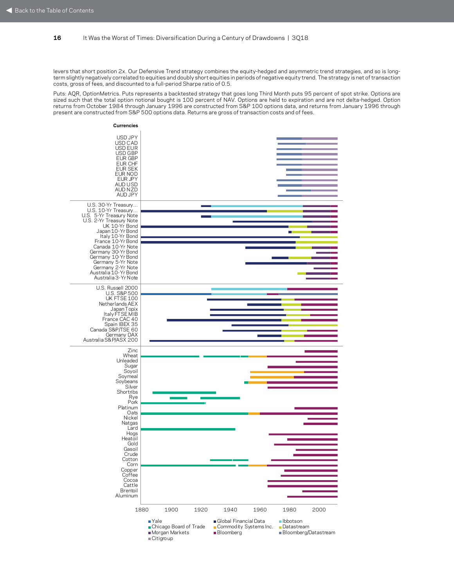levers that short position 2x. Our Defensive Trend strategy combines the equity-hedged and asymmetric trend strategies, and so is longterm slightly negatively correlated to equities and doubly short equities in periods of negative equity trend. The strategy is net of transaction costs, gross of fees, and discounted to a full-period Sharpe ratio of 0.5.

Puts: AQR, OptionMetrics. Puts represents a backtested strategy that goes long Third Month puts 95 percent of spot strike. Options are sized such that the total option notional bought is 100 percent of NAV. Options are held to expiration and are not delta-hedged. Option returns from October 1984 through January 1996 are constructed from S&P 100 options data, and returns from January 1996 through present are constructed from S&P 500 options data. Returns are gross of transaction costs and of fees.

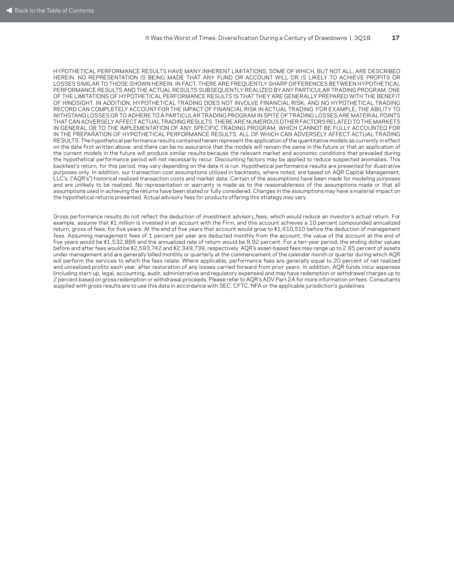HYPOTHETICAL PERFORMANCE RESULTS HAVE MANY INHERENT LIMITATIONS, SOME OF WHICH, BUT NOT ALL, ARE DESCRIBED HEREIN. NO REPRESENTATION IS BEING MADE THAT ANY FUND OR ACCOUNT WILL OR IS LIKELY TO ACHIEVE PROFITS OR LOSSES SIMILAR TO THOSE SHOWN HEREIN. IN FACT, THERE ARE FREQUENTLY SHARP DIFFERENCES BETWEEN HYPOTHETICAL PERFORMANCE RESULTS AND THE ACTUAL RESULTS SUBSEQUENTLY REALIZED BY ANY PARTICULAR TRADING PROGRAM. ONE OF THE LIMITATIONS OF HYPOTHETICAL PERFORMANCE RESULTS IS THAT THEY ARE GENERALLY PREPARED WITH THE BENEFIT OF HINDSIGHT. IN ADDITION, HYPOTHETICAL TRADING DOES NOT INVOLVE FINANCIAL RISK, AND NO HYPOTHETICAL TRADING RECORD CAN COMPLETELY ACCOUNT FOR THE IMPACT OF FINANCIAL RISK IN ACTUAL TRADING. FOR EXAMPLE, THE ABILITY TO WITHSTAND LOSSES OR TO ADHERE TO A PARTICULAR TRADING PROGRAM IN SPITE OF TRADING LOSSES ARE MATERIAL POINTS THAT CAN ADVERSELY AFFECT ACTUAL TRADING RESULTS. THERE ARE NUMEROUS OTHER FACTORS RELATED TO THE MARKETS IN GENERAL OR TO THE IMPLEMENTATION OF ANY SPECIFIC TRADING PROGRAM, WHICH CANNOT BE FULLY ACCOUNTED FOR IN THE PREPARATION OF HYPOTHETICAL PERFORMANCE RESULTS, ALL OF WHICH CAN ADVERSELY AFFECT ACTUAL TRADING RESULTS. The hypothetical performance results contained herein represent the application of the quantitative models as currently in effect on the date first written above, and there can be no assurance that the models will remain the same in the future or that an application of the current models in the future will produce similar results because the relevant market and economic conditions that prevailed during the hypothetical performance period will not necessarily recur. Discounting factors may be applied to reduce suspected anomalies. This backtest's return, for this period, may vary depending on the date it is run. Hypothetical performance results are presented for illustrative purposes only. In addition, our transaction cost assumptions utilized in backtests, where noted, are based on AQR Capital Management, LLC's, ("AQR's") historical realized transaction costs and market data. Certain of the assumptions have been made for modeling purposes and are unlikely to be realized. No representation or warranty is made as to the reasonableness of the assumptions made or that all assumptions used in achieving the returns have been stated or fully considered. Changes in the assumptions may have a material impact on the hypothetical returns presented. Actual advisory fees for products offering this strategy may vary.

Gross performance results do not reflect the deduction of investment advisory fees, which would reduce an investor's actual return. For example, assume that \$1 million is invested in an account with the Firm, and this account achieves a 10 percent compounded annualized return, gross of fees, for five years. At the end of five years that account would grow to \$1,610,510 before the deduction of management fees. Assuming management fees of 1 percent per year are deducted monthly from the account, the value of the account at the end of five years would be \$1,532,886 and the annualized rate of return would be 8.92 percent. For a ten-year period, the ending dollar values before and after fees would be \$2,593,742 and \$2,349,739, respectively. AQR's asset-based fees may range up to 2.85 percent of assets under management and are generally billed monthly or quarterly at the commencement of the calendar month or quarter during which AQR will perform the services to which the fees relate. Where applicable, performance fees are generally equal to 20 percent of net realized and unrealized profits each year, after restoration of any losses carried forward from prior years. In addition, AQR funds incur expenses (including start-up, legal, accounting, audit, administrative and regulatory expenses) and may have redemption or withdrawal charges up to 2 percent based on gross redemption or withdrawal proceeds. Please refer to AQR's ADV Part 2A for more information on fees. Consultants supplied with gross results are to use this data in accordance with SEC, CFTC, NFA or the applicable jurisdiction's guidelines.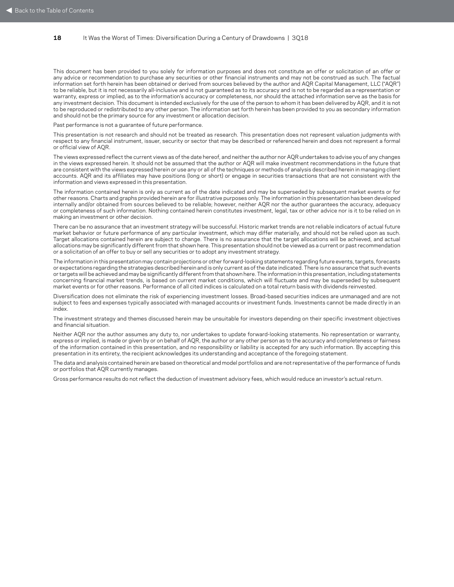This document has been provided to you solely for information purposes and does not constitute an offer or solicitation of an offer or any advice or recommendation to purchase any securities or other financial instruments and may not be construed as such. The factual information set forth herein has been obtained or derived from sources believed by the author and AQR Capital Management, LLC ("AQR") to be reliable, but it is not necessarily all-inclusive and is not guaranteed as to its accuracy and is not to be regarded as a representation or warranty, express or implied, as to the information's accuracy or completeness, nor should the attached information serve as the basis for any investment decision. This document is intended exclusively for the use of the person to whom it has been delivered by AQR, and it is not to be reproduced or redistributed to any other person. The information set forth herein has been provided to you as secondary information and should not be the primary source for any investment or allocation decision.

Past performance is not a guarantee of future performance.

This presentation is not research and should not be treated as research. This presentation does not represent valuation judgments with respect to any financial instrument, issuer, security or sector that may be described or referenced herein and does not represent a formal or official view of AQR.

The views expressed reflect the current views as of the date hereof, and neither the author nor AQR undertakes to advise you of any changes in the views expressed herein. It should not be assumed that the author or AQR will make investment recommendations in the future that are consistent with the views expressed herein or use any or all of the techniques or methods of analysis described herein in managing client accounts. AQR and its affiliates may have positions (long or short) or engage in securities transactions that are not consistent with the information and views expressed in this presentation.

The information contained herein is only as current as of the date indicated and may be superseded by subsequent market events or for other reasons. Charts and graphs provided herein are for illustrative purposes only. The information in this presentation has been developed internally and/or obtained from sources believed to be reliable; however, neither AQR nor the author guarantees the accuracy, adequacy or completeness of such information. Nothing contained herein constitutes investment, legal, tax or other advice nor is it to be relied on in making an investment or other decision.

There can be no assurance that an investment strategy will be successful. Historic market trends are not reliable indicators of actual future market behavior or future performance of any particular investment, which may differ materially, and should not be relied upon as such. Target allocations contained herein are subject to change. There is no assurance that the target allocations will be achieved, and actual allocations may be significantly different from that shown here. This presentation should not be viewed as a current or past recommendation or a solicitation of an offer to buy or sell any securities or to adopt any investment strategy.

The information in this presentation may contain projections or other forward-looking statements regarding future events, targets, forecasts or expectations regarding the strategies described herein and is only current as of the date indicated. There is no assurance that such events or targets will be achieved and may be significantly different from that shown here. The information in this presentation, including statements concerning financial market trends, is based on current market conditions, which will fluctuate and may be superseded by subsequent market events or for other reasons. Performance of all cited indices is calculated on a total return basis with dividends reinvested.

Diversification does not eliminate the risk of experiencing investment losses. Broad-based securities indices are unmanaged and are not subject to fees and expenses typically associated with managed accounts or investment funds. Investments cannot be made directly in an index.

The investment strategy and themes discussed herein may be unsuitable for investors depending on their specific investment objectives and financial situation.

Neither AQR nor the author assumes any duty to, nor undertakes to update forward-looking statements. No representation or warranty, express or implied, is made or given by or on behalf of AQR, the author or any other person as to the accuracy and completeness or fairness of the information contained in this presentation, and no responsibility or liability is accepted for any such information. By accepting this presentation in its entirety, the recipient acknowledges its understanding and acceptance of the foregoing statement.

The data and analysis contained herein are based on theoretical and model portfolios and are not representative of the performance of funds or portfolios that AQR currently manages.

Gross performance results do not reflect the deduction of investment advisory fees, which would reduce an investor's actual return.